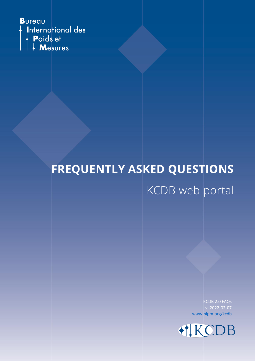

# **FREQUENTLY ASKED QUESTIONS** KCDB web portal

KCDB 2.0 FAQs v. 2022-02-07 [www.bipm.org/kcdb](https://www.bipm.org/kcdb/)

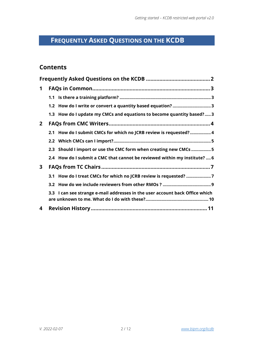# <span id="page-1-0"></span>**FREQUENTLY ASKED QUESTIONS ON THE KCDB**

# **Contents**

| 1            |  |                                                                              |  |  |
|--------------|--|------------------------------------------------------------------------------|--|--|
|              |  |                                                                              |  |  |
|              |  | 1.2 How do I write or convert a quantity based equation? 3                   |  |  |
|              |  | 1.3 How do I update my CMCs and equations to become quantity based? 3        |  |  |
| $\mathbf{2}$ |  |                                                                              |  |  |
|              |  | 2.1 How do I submit CMCs for which no JCRB review is requested?4             |  |  |
|              |  |                                                                              |  |  |
|              |  | 2.3 Should I import or use the CMC form when creating new CMCs 5             |  |  |
|              |  | 2.4 How do I submit a CMC that cannot be reviewed within my institute?  6    |  |  |
| 3            |  |                                                                              |  |  |
|              |  | 3.1 How do I treat CMCs for which no JCRB review is requested? 7             |  |  |
|              |  |                                                                              |  |  |
|              |  | 3.3 I can see strange e-mail addresses in the user account back Office which |  |  |
| 4            |  |                                                                              |  |  |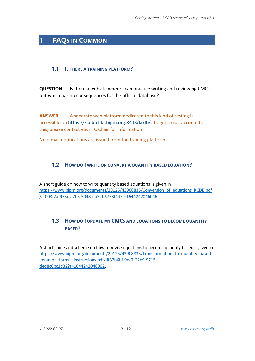# <span id="page-2-0"></span>**1 FAQS IN COMMON**

#### <span id="page-2-1"></span>**1.1 IS THERE A TRAINING PLATFORM?**

**QUESTION** Is there a website where I can practice writing and reviewing CMCs but which has no consequences for the official database?

**ANSWER** A separate web platform dedicated to this kind of testing is accessible on [https://kcdb-cbkt.bipm.org:8443/kcdb/.](https://kcdb-cbkt.bipm.org:8443/kcdb/) To get a user account for this, please contact your TC Chair for information.

No e-mail notifications are issued from the training platform.

#### <span id="page-2-2"></span>**1.2 HOW DO I WRITE OR CONVERT A QUANTITY BASED EQUATION?**

A short guide on how to write quantity based equations is given in [https://www.bipm.org/documents/20126/43908835/Conversion\\_of\\_equations\\_KCDB.pdf](https://www.bipm.org/documents/20126/43908835/Conversion_of_equations_KCDB.pdf/af008f2a-973c-a7b5-5048-db32b6758f44?t=1644242046046) [/af008f2a-973c-a7b5-5048-db32b6758f44?t=1644242046046](https://www.bipm.org/documents/20126/43908835/Conversion_of_equations_KCDB.pdf/af008f2a-973c-a7b5-5048-db32b6758f44?t=1644242046046).

## <span id="page-2-3"></span>**1.3 HOW DO I UPDATE MY CMCS AND EQUATIONS TO BECOME QUANTITY BASED?**

A short guide and scheme on how to revise equations to become quantity based is given in https://www.bipm.org/documents/20126/43908835/Transformation\_to\_quantity\_based [equation\\_format-instructions.pdf/df37b6bf-9ec7-22e9-9715](https://www.bipm.org/documents/20126/43908835/Transformation_to_quantity_based_equation_format-instructions.pdf/df37b6bf-9ec7-22e9-9715-ded8c6bc1d32?t=1644242048302) [ded8c6bc1d32?t=1644242048302.](https://www.bipm.org/documents/20126/43908835/Transformation_to_quantity_based_equation_format-instructions.pdf/df37b6bf-9ec7-22e9-9715-ded8c6bc1d32?t=1644242048302)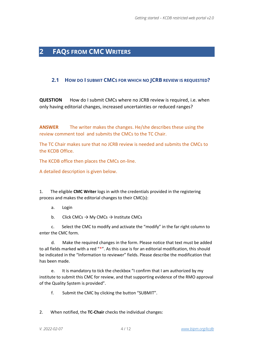# <span id="page-3-0"></span>**2 FAQS FROM CMC WRITERS**

#### <span id="page-3-1"></span>**2.1 HOW DO I SUBMIT CMCS FOR WHICH NO JCRB REVIEW IS REQUESTED?**

**QUESTION** How do I submit CMCs where no JCRB review is required, i.e. when only having editorial changes, increased uncertainties or reduced ranges?

**ANSWER** The writer makes the changes. He/she describes these using the review comment tool and submits the CMCs to the TC Chair.

The TC Chair makes sure that no JCRB review is needed and submits the CMCs to the KCDB Office.

The KCDB office then places the CMCs on-line.

A detailed description is given below.

1. The eligible **CMC Writer** logs in with the credentials provided in the registering process and makes the editorial changes to their CMC(s):

a. Login

b. Click CMCs  $\rightarrow$  My CMCs  $\rightarrow$  Institute CMCs

 c. Select the CMC to modify and activate the "modify" in the far right column to enter the CMC form.

 d. Make the required changes in the form. Please notice that text must be added to all fields marked with a red "\*". As this case is for an editorial modification, this should be indicated in the "Information to reviewer" fields. Please describe the modification that has been made.

 e. It is mandatory to tick the checkbox "I confirm that I am authorized by my institute to submit this CMC for review, and that supporting evidence of the RMO approval of the Quality System is provided".

f. Submit the CMC by clicking the button "SUBMIT".

2. When notified, the **TC-Chair** checks the individual changes: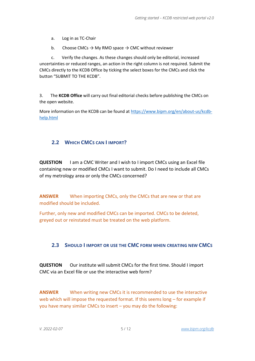a. Log in as TC-Chair

b. Choose CMCs  $\rightarrow$  My RMO space  $\rightarrow$  CMC without reviewer

 c. Verify the changes. As these changes should only be editorial, increased uncertainties or reduced ranges, an action in the right column is not required. Submit the CMCs directly to the KCDB Office by ticking the select boxes for the CMCs and click the button "SUBMIT TO THE KCDB".

3. The **KCDB Office** will carry out final editorial checks before publishing the CMCs on the open website.

More information on the KCDB can be found at [https://www.bipm.org/en/about-us/kcdb](https://www.bipm.org/en/about-us/kcdb-help.html)[help.html](https://www.bipm.org/en/about-us/kcdb-help.html)

## <span id="page-4-0"></span>**2.2 WHICH CMCS CAN I IMPORT?**

**QUESTION** I am a CMC Writer and I wish to I import CMCs using an Excel file containing new or modified CMCs I want to submit. Do I need to include all CMCs of my metrology area or only the CMCs concerned?

**ANSWER** When importing CMCs, only the CMCs that are new or that are modified should be included.

Further, only new and modified CMCs can be imported. CMCs to be deleted, greyed out or reinstated must be treated on the web platform.

## <span id="page-4-1"></span>**2.3 SHOULD I IMPORT OR USE THE CMC FORM WHEN CREATING NEW CMCS**

**QUESTION** Our institute will submit CMCs for the first time. Should I import CMC via an Excel file or use the interactive web form?

**ANSWER** When writing new CMCs it is recommended to use the interactive web which will impose the requested format. If this seems long – for example if you have many similar CMCs to insert – you may do the following: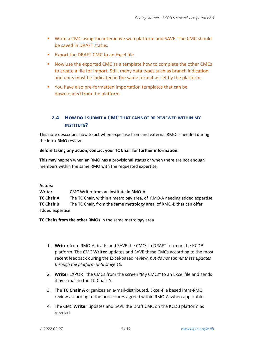- Write a CMC using the interactive web platform and SAVE. The CMC should be saved in DRAFT status.
- Export the DRAFT CMC to an Excel file.
- Now use the exported CMC as a template how to complete the other CMCs to create a file for import. Still, many data types such as branch indication and units must be indicated in the same format as set by the platform.
- You have also pre-formatted importation templates that can be downloaded from the platform.

## <span id="page-5-0"></span>**2.4 HOW DO I SUBMIT A CMC THAT CANNOT BE REVIEWED WITHIN MY INSTITUTE?**

This note desccribes how to act when expertise from and external RMO is needed during the intra-RMO review.

#### **Before taking any action, contact your TC Chair for further information.**

This may happen when an RMO has a provisional status or when there are not enough members within the same RMO with the requested expertise.

#### **Actors:**

**Writer** CMC Writer from an institute in RMO-A **TC Chair A** The TC Chair, within a metrology area, of RMO-A needing added expertise **TC Chair B** The TC Chair, from the same metrology area, of RMO-B that can offer added expertise

**TC Chairs from the other RMOs** in the same metrology area

- 1. **Writer** from RMO-A drafts and SAVE the CMCs in DRAFT form on the KCDB platform. The CMC **Writer** updates and SAVE these CMCs according to the most recent feedback during the Excel-based review, *but do not submit these updates through the platform until stage 10.*
- 2. **Writer** EXPORT the CMCs from the screen "My CMCs" to an Excel file and sends it by e-mail to the TC Chair A.
- 3. The **TC Chair A** organizes an e-mail-distributed, Excel-file based intra-RMO review according to the procedures agreed within RMO-A, when applicable.
- 4. The CMC **Writer** updates and SAVE the Draft CMC on the KCDB platform as needed.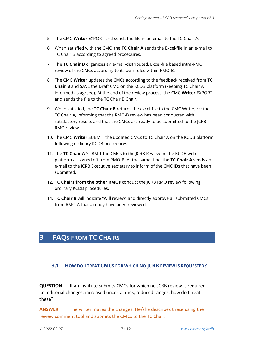- 5. The CMC **Writer** EXPORT and sends the file in an email to the TC Chair A.
- 6. When satisfied with the CMC, the **TC Chair A** sends the Excel-file in an e-mail to TC Chair B according to agreed procedures.
- 7. The **TC Chair B** organizes an e-mail-distributed, Excel-file based intra-RMO review of the CMCs according to its own rules within RMO-B.
- 8. The CMC **Writer** updates the CMCs according to the feedback received from **TC Chair B** and SAVE the Draft CMC on the KCDB platform (keeping TC Chair A informed as agreed). At the end of the review process, the CMC **Writer** EXPORT and sends the file to the TC Chair B Chair.
- 9. When satisfied, the **TC Chair B** returns the excel-file to the CMC Writer, cc: the TC Chair A, informing that the RMO-B review has been conducted with satisfactory results and that the CMCs are ready to be submitted to the JCRB RMO review.
- 10. The CMC **Writer** SUBMIT the updated CMCs to TC Chair A on the KCDB platform following ordinary KCDB procedures.
- 11. The **TC Chair A** SUBMIT the CMCs to the JCRB Review on the KCDB web platform as signed off from RMO-B. At the same time, the **TC Chair A** sends an e-mail to the JCRB Executive secretary to inform of the CMC IDs that have been submitted.
- 12. **TC Chairs from the other RMOs** conduct the JCRB RMO review following ordinary KCDB procedures.
- 14. **TC Chair B** will indicate "Will review" and directly approve all submitted CMCs from RMO-A that already have been reviewed.

# <span id="page-6-0"></span>**3 FAQS FROM TC CHAIRS**

#### <span id="page-6-1"></span>**3.1 HOW DO I TREAT CMCS FOR WHICH NO JCRB REVIEW IS REQUESTED?**

**QUESTION** If an institute submits CMCs for which no JCRB review is required, i.e. editorial changes, increased uncertainties, reduced ranges, how do I treat these?

**ANSWER** The writer makes the changes. He/she describes these using the review comment tool and submits the CMCs to the TC Chair.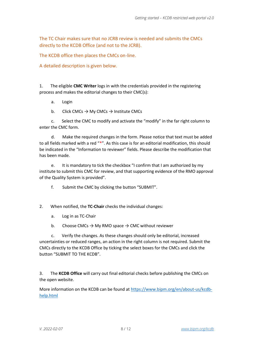The TC Chair makes sure that no JCRB review is needed and submits the CMCs directly to the KCDB Office (and not to the JCRB).

The KCDB office then places the CMCs on-line.

A detailed description is given below.

1. The eligible **CMC Writer** logs in with the credentials provided in the registering process and makes the editorial changes to their CMC(s):

- a. Login
- b. Click CMCs  $\rightarrow$  My CMCs  $\rightarrow$  Institute CMCs

 c. Select the CMC to modify and activate the "modify" in the far right column to enter the CMC form.

 d. Make the required changes in the form. Please notice that text must be added to all fields marked with a red "\*". As this case is for an editorial modification, this should be indicated in the "Information to reviewer" fields. Please describe the modification that has been made.

 e. It is mandatory to tick the checkbox "I confirm that I am authorized by my institute to submit this CMC for review, and that supporting evidence of the RMO approval of the Quality System is provided".

- f. Submit the CMC by clicking the button "SUBMIT".
- 2. When notified, the **TC-Chair** checks the individual changes:
	- a. Log in as TC-Chair
	- b. Choose CMCs  $\rightarrow$  My RMO space  $\rightarrow$  CMC without reviewer

 c. Verify the changes. As these changes should only be editorial, increased uncertainties or reduced ranges, an action in the right column is not required. Submit the CMCs directly to the KCDB Office by ticking the select boxes for the CMCs and click the button "SUBMIT TO THE KCDB".

3. The **KCDB Office** will carry out final editorial checks before publishing the CMCs on the open website.

More information on the KCDB can be found at [https://www.bipm.org/en/about-us/kcdb](https://www.bipm.org/en/about-us/kcdb-help.html)[help.html](https://www.bipm.org/en/about-us/kcdb-help.html)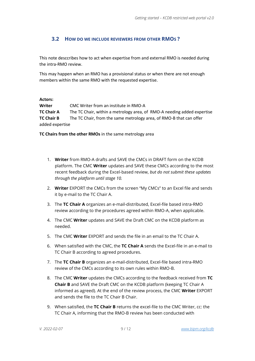#### <span id="page-8-0"></span>**3.2 HOW DO WE INCLUDE REVIEWERS FROM OTHER RMOS ?**

This note desccribes how to act when expertise from and external RMO is needed during the intra-RMO review.

This may happen when an RMO has a provisional status or when there are not enough members within the same RMO with the requested expertise.

#### **Actors:**

**Writer** CMC Writer from an institute in RMO-A **TC Chair A** The TC Chair, within a metrology area, of RMO-A needing added expertise **TC Chair B** The TC Chair, from the same metrology area, of RMO-B that can offer added expertise

**TC Chairs from the other RMOs** in the same metrology area

- 1. **Writer** from RMO-A drafts and SAVE the CMCs in DRAFT form on the KCDB platform. The CMC **Writer** updates and SAVE these CMCs according to the most recent feedback during the Excel-based review, *but do not submit these updates through the platform until stage 10.*
- 2. **Writer** EXPORT the CMCs from the screen "My CMCs" to an Excel file and sends it by e-mail to the TC Chair A.
- 3. The **TC Chair A** organizes an e-mail-distributed, Excel-file based intra-RMO review according to the procedures agreed within RMO-A, when applicable.
- 4. The CMC **Writer** updates and SAVE the Draft CMC on the KCDB platform as needed.
- 5. The CMC **Writer** EXPORT and sends the file in an email to the TC Chair A.
- 6. When satisfied with the CMC, the **TC Chair A** sends the Excel-file in an e-mail to TC Chair B according to agreed procedures.
- 7. The **TC Chair B** organizes an e-mail-distributed, Excel-file based intra-RMO review of the CMCs according to its own rules within RMO-B.
- 8. The CMC **Writer** updates the CMCs according to the feedback received from **TC Chair B** and SAVE the Draft CMC on the KCDB platform (keeping TC Chair A informed as agreed). At the end of the review process, the CMC **Writer** EXPORT and sends the file to the TC Chair B Chair.
- 9. When satisfied, the **TC Chair B** returns the excel-file to the CMC Writer, cc: the TC Chair A, informing that the RMO-B review has been conducted with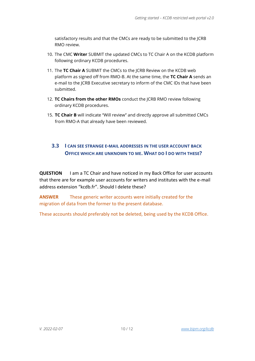satisfactory results and that the CMCs are ready to be submitted to the JCRB RMO review.

- 10. The CMC **Writer** SUBMIT the updated CMCs to TC Chair A on the KCDB platform following ordinary KCDB procedures.
- 11. The **TC Chair A** SUBMIT the CMCs to the JCRB Review on the KCDB web platform as signed off from RMO-B. At the same time, the **TC Chair A** sends an e-mail to the JCRB Executive secretary to inform of the CMC IDs that have been submitted.
- 12. **TC Chairs from the other RMOs** conduct the JCRB RMO review following ordinary KCDB procedures.
- 15. **TC Chair B** will indicate "Will review" and directly approve all submitted CMCs from RMO-A that already have been reviewed.

## <span id="page-9-0"></span>**3.3 I CAN SEE STRANGE E-MAIL ADDRESSES IN THE USER ACCOUNT BACK OFFICE WHICH ARE UNKNOWN TO ME. WHAT DO I DO WITH THESE?**

**QUESTION** I am a TC Chair and have noticed in my Back Office for user accounts that there are for example user accounts for writers and institutes with the e-mail address extension "kcdb.fr". Should I delete these?

**ANSWER** These generic writer accounts were initially created for the migration of data from the former to the present database.

These accounts should preferably not be deleted, being used by the KCDB Office.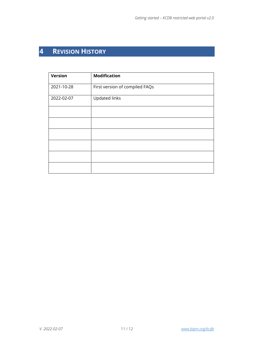# <span id="page-10-0"></span>**4 REVISION HISTORY**

| <b>Version</b> | <b>Modification</b>            |
|----------------|--------------------------------|
| 2021-10-28     | First version of compiled FAQs |
| 2022-02-07     | <b>Updated links</b>           |
|                |                                |
|                |                                |
|                |                                |
|                |                                |
|                |                                |
|                |                                |